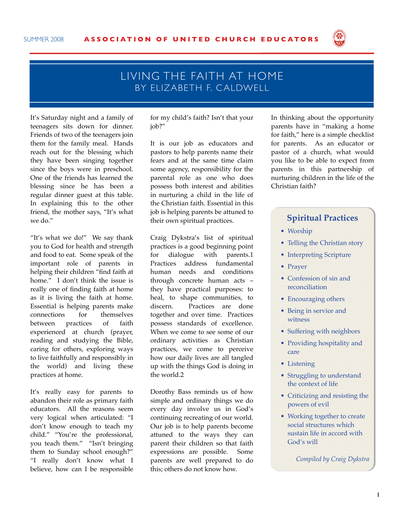

## LIVING THE FAITH AT HOME BY FIJZABETH F. CALDWELL

It's Saturday night and a family of teenagers sits down for dinner. Friends of two of the teenagers join them for the family meal. Hands reach out for the blessing which they have been singing together since the boys were in preschool. One of the friends has learned the blessing since he has been a regular dinner guest at this table. In explaining this to the other friend, the mother says, "It's what we do."

"It's what we do!" We say thank you to God for health and strength and food to eat. Some speak of the important role of parents in helping their children "find faith at home." I don't think the issue is really one of finding faith at home as it is living the faith at home. Essential is helping parents make connections for themselves between practices of faith experienced at church (prayer, reading and studying the Bible, caring for others, exploring ways to live faithfully and responsibly in the world) and living these practices at home.

It's really easy for parents to abandon their role as primary faith educators. All the reasons seem very logical when articulated: "I don't know enough to teach my child." "You're the professional, you teach them." "Isn't bringing them to Sunday school enough?" "I really don't know what I believe, how can I be responsible

for my child's faith? Isn't that your job?"

It is our job as educators and pastors to help parents name their fears and at the same time claim some agency, responsibility for the parental role as one who does possess both interest and abilities in nurturing a child in the life of the Christian faith. Essential in this job is helping parents be attuned to their own spiritual practices.

Craig Dykstra's list of spiritual practices is a good beginning point for dialogue with parents.1 Practices address fundamental human needs and conditions through concrete human acts – they have practical purposes: to heal, to shape communities, to discern. Practices are done together and over time. Practices possess standards of excellence. When we come to see some of our ordinary activities as Christian practices, we come to perceive how our daily lives are all tangled up with the things God is doing in the world.2

Dorothy Bass reminds us of how simple and ordinary things we do every day involve us in God's continuing recreating of our world. Our job is to help parents become attuned to the ways they can parent their children so that faith expressions are possible. Some parents are well prepared to do this; others do not know how.

In thinking about the opportunity parents have in "making a home for faith," here is a simple checklist for parents. As an educator or pastor of a church, what would you like to be able to expect from parents in this partnership of nurturing children in the life of the Christian faith?

## **Spiritual Practices**

- Worship
- Telling the Christian story
- Interpreting Scripture
- Prayer
- Confession of sin and reconciliation
- Encouraging others
- Being in service and witness
- Suffering with neighbors
- Providing hospitality and care
- Listening
- Struggling to understand the context of life
- Criticizing and resisting the powers of evil
- Working together to create social structures which sustain life in accord with God's will

*Compiled by Craig Dykstra*